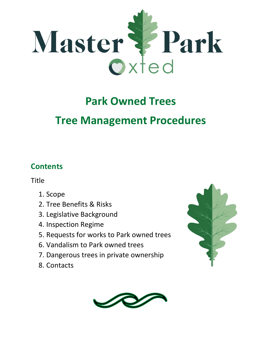

# **Park Owned Trees**

## **Tree Management Procedures**

## **Contents**

Title

- 1. Scope
- 2. Tree Benefits & Risks
- 3. Legislative Background
- 4. Inspection Regime
- 5. Requests for works to Park owned trees
- 6. Vandalism to Park owned trees
- 7. Dangerous trees in private ownership
- 8. Contacts



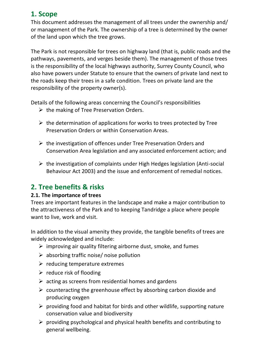## **1. Scope**

This document addresses the management of all trees under the ownership and/ or management of the Park. The ownership of a tree is determined by the owner of the land upon which the tree grows.

The Park is not responsible for trees on highway land (that is, public roads and the pathways, pavements, and verges beside them). The management of those trees is the responsibility of the local highways authority, Surrey County Council, who also have powers under Statute to ensure that the owners of private land next to the roads keep their trees in a safe condition. Trees on private land are the responsibility of the property owner(s).

Details of the following areas concerning the Council's responsibilities

- $\triangleright$  the making of Tree Preservation Orders.
- $\triangleright$  the determination of applications for works to trees protected by Tree Preservation Orders or within Conservation Areas.
- $\triangleright$  the investigation of offences under Tree Preservation Orders and Conservation Area legislation and any associated enforcement action; and
- $\triangleright$  the investigation of complaints under High Hedges legislation (Anti-social Behaviour Act 2003) and the issue and enforcement of remedial notices.

## **2. Tree benefits & risks**

#### **2.1. The importance of trees**

Trees are important features in the landscape and make a major contribution to the attractiveness of the Park and to keeping Tandridge a place where people want to live, work and visit.

In addition to the visual amenity they provide, the tangible benefits of trees are widely acknowledged and include:

- $\triangleright$  improving air quality filtering airborne dust, smoke, and fumes
- $\triangleright$  absorbing traffic noise/ noise pollution
- $\triangleright$  reducing temperature extremes
- $\triangleright$  reduce risk of flooding
- $\triangleright$  acting as screens from residential homes and gardens
- $\triangleright$  counteracting the greenhouse effect by absorbing carbon dioxide and producing oxygen
- $\triangleright$  providing food and habitat for birds and other wildlife, supporting nature conservation value and biodiversity
- $\triangleright$  providing psychological and physical health benefits and contributing to general wellbeing.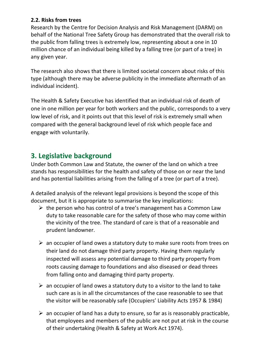#### **2.2. Risks from trees**

Research by the Centre for Decision Analysis and Risk Management (DARM) on behalf of the National Tree Safety Group has demonstrated that the overall risk to the public from falling trees is extremely low, representing about a one in 10 million chance of an individual being killed by a falling tree (or part of a tree) in any given year.

The research also shows that there is limited societal concern about risks of this type (although there may be adverse publicity in the immediate aftermath of an individual incident).

The Health & Safety Executive has identified that an individual risk of death of one in one million per year for both workers and the public, corresponds to a very low level of risk, and it points out that this level of risk is extremely small when compared with the general background level of risk which people face and engage with voluntarily.

## **3. Legislative background**

Under both Common Law and Statute, the owner of the land on which a tree stands has responsibilities for the health and safety of those on or near the land and has potential liabilities arising from the falling of a tree (or part of a tree).

A detailed analysis of the relevant legal provisions is beyond the scope of this document, but it is appropriate to summarise the key implications:

- $\triangleright$  the person who has control of a tree's management has a Common Law duty to take reasonable care for the safety of those who may come within the vicinity of the tree. The standard of care is that of a reasonable and prudent landowner.
- $\triangleright$  an occupier of land owes a statutory duty to make sure roots from trees on their land do not damage third party property. Having them regularly inspected will assess any potential damage to third party property from roots causing damage to foundations and also diseased or dead threes from falling onto and damaging third party property.
- $\triangleright$  an occupier of land owes a statutory duty to a visitor to the land to take such care as is in all the circumstances of the case reasonable to see that the visitor will be reasonably safe (Occupiers' Liability Acts 1957 & 1984)
- $\triangleright$  an occupier of land has a duty to ensure, so far as is reasonably practicable, that employees and members of the public are not put at risk in the course of their undertaking (Health & Safety at Work Act 1974).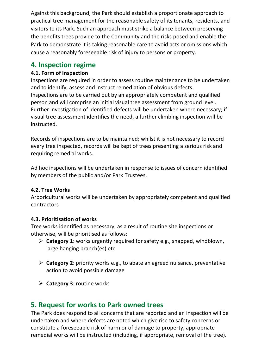Against this background, the Park should establish a proportionate approach to practical tree management for the reasonable safety of its tenants, residents, and visitors to its Park. Such an approach must strike a balance between preserving the benefits trees provide to the Community and the risks posed and enable the Park to demonstrate it is taking reasonable care to avoid acts or omissions which cause a reasonably foreseeable risk of injury to persons or property.

### **4. Inspection regime**

#### **4.1. Form of Inspection**

Inspections are required in order to assess routine maintenance to be undertaken and to identify, assess and instruct remediation of obvious defects. Inspections are to be carried out by an appropriately competent and qualified person and will comprise an initial visual tree assessment from ground level. Further investigation of identified defects will be undertaken where necessary; if visual tree assessment identifies the need, a further climbing inspection will be instructed.

Records of inspections are to be maintained; whilst it is not necessary to record every tree inspected, records will be kept of trees presenting a serious risk and requiring remedial works.

Ad hoc inspections will be undertaken in response to issues of concern identified by members of the public and/or Park Trustees.

#### **4.2. Tree Works**

Arboricultural works will be undertaken by appropriately competent and qualified contractors

#### **4.3. Prioritisation of works**

Tree works identified as necessary, as a result of routine site inspections or otherwise, will be prioritised as follows:

- ➢ **Category 1**: works urgently required for safety e.g., snapped, windblown, large hanging branch(es) etc
- ➢ **Category 2**: priority works e.g., to abate an agreed nuisance, preventative action to avoid possible damage
- ➢ **Category 3**: routine works

## **5. Request for works to Park owned trees**

The Park does respond to all concerns that are reported and an inspection will be undertaken and where defects are noted which give rise to safety concerns or constitute a foreseeable risk of harm or of damage to property, appropriate remedial works will be instructed (including, if appropriate, removal of the tree).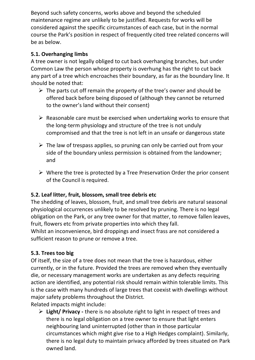Beyond such safety concerns, works above and beyond the scheduled maintenance regime are unlikely to be justified. Requests for works will be considered against the specific circumstances of each case, but in the normal course the Park's position in respect of frequently cited tree related concerns will be as below.

#### **5.1. Overhanging limbs**

A tree owner is not legally obliged to cut back overhanging branches, but under Common Law the person whose property is overhung has the right to cut back any part of a tree which encroaches their boundary, as far as the boundary line. It should be noted that:

- $\triangleright$  The parts cut off remain the property of the tree's owner and should be offered back before being disposed of (although they cannot be returned to the owner's land without their consent)
- $\triangleright$  Reasonable care must be exercised when undertaking works to ensure that the long-term physiology and structure of the tree is not unduly compromised and that the tree is not left in an unsafe or dangerous state
- $\triangleright$  The law of trespass applies, so pruning can only be carried out from your side of the boundary unless permission is obtained from the landowner; and
- $\triangleright$  Where the tree is protected by a Tree Preservation Order the prior consent of the Council is required.

#### **5.2. Leaf litter, fruit, blossom, small tree debris etc**

The shedding of leaves, blossom, fruit, and small tree debris are natural seasonal physiological occurrences unlikely to be resolved by pruning. There is no legal obligation on the Park, or any tree owner for that matter, to remove fallen leaves, fruit, flowers etc from private properties into which they fall.

Whilst an inconvenience, bird droppings and insect frass are not considered a sufficient reason to prune or remove a tree.

#### **5.3. Trees too big**

Of itself, the size of a tree does not mean that the tree is hazardous, either currently, or in the future. Provided the trees are removed when they eventually die, or necessary management works are undertaken as any defects requiring action are identified, any potential risk should remain within tolerable limits. This is the case with many hundreds of large trees that coexist with dwellings without major safety problems throughout the District.

Related impacts might include:

➢ **Light/ Privacy -** there is no absolute right to light in respect of trees and there is no legal obligation on a tree owner to ensure that light enters neighbouring land uninterrupted (other than in those particular circumstances which might give rise to a High Hedges complaint). Similarly, there is no legal duty to maintain privacy afforded by trees situated on Park owned land.